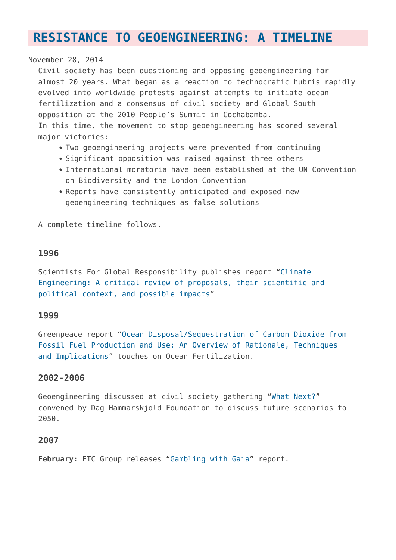# **[RESISTANCE TO GEOENGINEERING: A TIMELINE](https://www.geoengineeringmonitor.org/resistance/)**

## November 28, 2014

Civil society has been questioning and opposing geoengineering for almost 20 years. What began as a reaction to technocratic hubris rapidly evolved into worldwide protests against attempts to initiate ocean fertilization and a consensus of civil society and Global South opposition at the 2010 People's Summit in Cochabamba. In this time, the movement to stop geoengineering has scored several major victories:

- Two geoengineering projects were prevented from continuing
- Significant opposition was raised against three others
- International moratoria have been established at the UN Convention on Biodiversity and the London Convention
- Reports have consistently anticipated and exposed new geoengineering techniques as false solutions

A complete timeline follows.

# **1996**

Scientists For Global Responsibility publishes report "[Climate](http://www.chooseclimate.org/cleng/part1b.html) [Engineering: A critical review of proposals, their scientific and](http://www.chooseclimate.org/cleng/part1b.html) [political context, and possible impacts"](http://www.chooseclimate.org/cleng/part1b.html)

## **1999**

Greenpeace report ["Ocean Disposal/Sequestration of Carbon Dioxide from](http://www.greenpeace.to/publications/co2dump.pdf) [Fossil Fuel Production and Use: An Overview of Rationale, Techniques](http://www.greenpeace.to/publications/co2dump.pdf) [and Implications](http://www.greenpeace.to/publications/co2dump.pdf)" touches on Ocean Fertilization.

# **2002-2006**

Geoengineering discussed at civil society gathering ["What Next?"](http://www.whatnext.org/) convened by Dag Hammarskjold Foundation to discuss future scenarios to 2050.

## **2007**

**February:** ETC Group releases ["Gambling with Gaia](http://www.etcgroup.org/content/gambling-gaia)" report.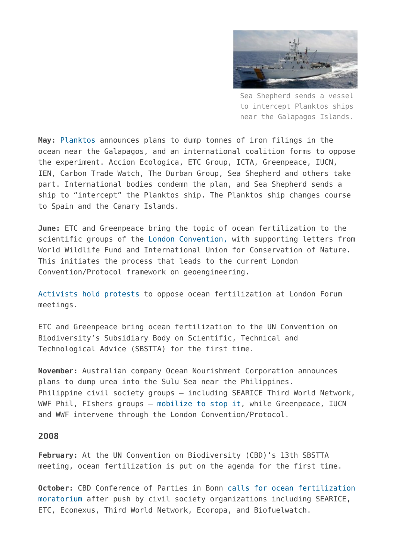

Sea Shepherd sends a vessel to intercept Planktos ships near the Galapagos Islands.

**May:** [Planktos](http://www.geoengineeringmonitor.org/tag/planktos/) announces plans to dump tonnes of iron filings in the ocean near the Galapagos, and an international coalition forms to oppose the experiment. Accion Ecologica, ETC Group, ICTA, Greenpeace, IUCN, IEN, Carbon Trade Watch, The Durban Group, Sea Shepherd and others take part. International bodies condemn the plan, and Sea Shepherd sends a ship to "intercept" the Planktos ship. The Planktos ship changes course to Spain and the Canary Islands.

**June:** ETC and Greenpeace bring the topic of ocean fertilization to the scientific groups of the [London Convention,](http://en.wikipedia.org/wiki/London_Convention_on_the_Prevention_of_Marine_Pollution_by_Dumping_of_Wastes_and_Other_Matter) with supporting letters from World Wildlife Fund and International Union for Conservation of Nature. This initiates the process that leads to the current London Convention/Protocol framework on geoengineering.

[Activists hold protests](http://www.geoengineeringmonitor.org/2007/08/london-convention-climate-campaigners-oppose-meddling-with-the-oceans/) to oppose ocean fertilization at London Forum meetings.

ETC and Greenpeace bring ocean fertilization to the UN Convention on Biodiversity's Subsidiary Body on Scientific, Technical and Technological Advice (SBSTTA) for the first time.

**November:** Australian company Ocean Nourishment Corporation announces plans to dump urea into the Sulu Sea near the Philippines. Philippine civil society groups – including SEARICE Third World Network, WWF Phil, FIshers groups – [mobilize to stop it](http://www.geoengineeringmonitor.org/2007/11/civil-society-petition-withhold-endorsement-of-the-ocean-nourishment-project-in-sulu-sea-philippines/), while Greenpeace, IUCN and WWF intervene through the London Convention/Protocol.

#### **2008**

**February:** At the UN Convention on Biodiversity (CBD)'s 13th SBSTTA meeting, ocean fertilization is put on the agenda for the first time.

**October:** CBD Conference of Parties in Bonn [calls for ocean fertilization](http://fr.www.sidsnet.org/node/15022) [moratorium](http://fr.www.sidsnet.org/node/15022) after push by civil society organizations including SEARICE, ETC, Econexus, Third World Network, Ecoropa, and Biofuelwatch.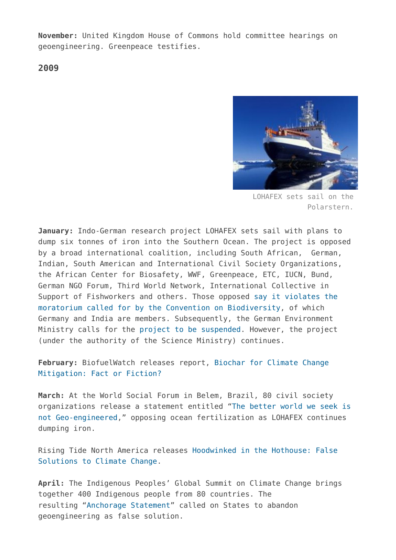**November:** United Kingdom House of Commons hold committee hearings on geoengineering. Greenpeace testifies.

**2009**



LOHAFEX sets sail on the Polarstern.

**January:** Indo-German research project LOHAFEX sets sail with plans to dump six tonnes of iron into the Southern Ocean. The project is opposed by a broad international coalition, including South African, German, Indian, South American and International Civil Society Organizations, the African Center for Biosafety, WWF, Greenpeace, ETC, IUCN, Bund, German NGO Forum, Third World Network, International Collective in Support of Fishworkers and others. Those opposed [say it violates the](http://www.geoengineeringmonitor.org/wp-admin/post.php?post=2406&action=edit) [moratorium called for by the Convention on Biodiversity,](http://www.geoengineeringmonitor.org/wp-admin/post.php?post=2406&action=edit) of which Germany and India are members. Subsequently, the German Environment Ministry calls for the [project to be suspended](http://www.geoengineeringmonitor.org/2009/01/ocean-fertilization-experiment-suspended/). However, the project (under the authority of the Science Ministry) continues.

**February:** BiofuelWatch releases report, [Biochar for Climate Change](https://www.cbd.int/doc/biofuel/Econexus%20Briefing%20Biochar.pdf) [Mitigation: Fact or Fiction?](https://www.cbd.int/doc/biofuel/Econexus%20Briefing%20Biochar.pdf)

**March:** At the World Social Forum in Belem, Brazil, 80 civil society organizations release a statement entitled "[The better world we seek is](http://www.etcgroup.org/content/better-world-we-seek-not-geo-engineered-civil-society-statement-against-ocean-fertilization) [not Geo-engineered,](http://www.etcgroup.org/content/better-world-we-seek-not-geo-engineered-civil-society-statement-against-ocean-fertilization)" opposing ocean fertilization as LOHAFEX continues dumping iron.

Rising Tide North America releases [Hoodwinked in the Hothouse: False](http://risingtidenorthamerica.org/tag/hoodwinked-in-the-hothouse/) [Solutions to Climate Change](http://risingtidenorthamerica.org/tag/hoodwinked-in-the-hothouse/).

**April:** The Indigenous Peoples' Global Summit on Climate Change brings together 400 Indigenous people from 80 countries. The resulting ["Anchorage Statement](http://another-green-world.blogspot.ca/2009/08/indigenous-peoples-global-summit-on.html)" called on States to abandon geoengineering as false solution.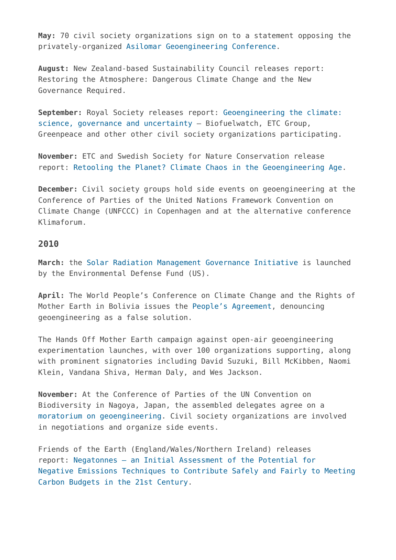**May:** 70 civil society organizations sign on to a statement opposing the privately-organized [Asilomar Geoengineering Conference](http://www.etcgroup.org/content/sign-open-letter-opposing-asilomar-geoengineering-conference).

**August:** New Zealand-based Sustainability Council releases report: Restoring the Atmosphere: Dangerous Climate Change and the New Governance Required.

**September:** Royal Society releases report: [Geoengineering the climate:](https://royalsociety.org/policy/publications/2009/geoengineering-climate/) [science, governance and uncertainty –](https://royalsociety.org/policy/publications/2009/geoengineering-climate/) Biofuelwatch, ETC Group, Greenpeace and other other civil society organizations participating.

**November:** ETC and Swedish Society for Nature Conservation release report: [Retooling the Planet? Climate Chaos in the Geoengineering Age](http://www.etcgroup.org/content/retooling-planet-new-etc-group-report-geoengineering).

**December:** Civil society groups hold side events on geoengineering at the Conference of Parties of the United Nations Framework Convention on Climate Change (UNFCCC) in Copenhagen and at the alternative conference Klimaforum.

#### **2010**

**March:** the [Solar Radiation Management Governance Initiative](http://www.srmgi.org/about-srmgi/) is launched by the Environmental Defense Fund (US).

**April:** The World People's Conference on Climate Change and the Rights of Mother Earth in Bolivia issues the [People's Agreement](https://pwccc.wordpress.com/2010/04/24/peoples-agreement/), denouncing geoengineering as a false solution.

The Hands Off Mother Earth campaign against open-air geoengineering experimentation launches, with over 100 organizations supporting, along with prominent signatories including David Suzuki, Bill McKibben, Naomi Klein, Vandana Shiva, Herman Daly, and Wes Jackson.

**November:** At the Conference of Parties of the UN Convention on Biodiversity in Nagoya, Japan, the assembled delegates agree on a [moratorium on geoengineering.](http://www.geoengineeringmonitor.org/2015/01/geoengineering-moratorium-at-un-ministerial-in-japan/) Civil society organizations are involved in negotiations and organize side events.

Friends of the Earth (England/Wales/Northern Ireland) releases report: [Negatonnes – an Initial Assessment of the Potential for](http://www.foe.co.uk/sites/default/files/downloads/negatonnes.pdf) [Negative Emissions Techniques to Contribute Safely and Fairly to Meeting](http://www.foe.co.uk/sites/default/files/downloads/negatonnes.pdf) [Carbon Budgets in the 21st Century.](http://www.foe.co.uk/sites/default/files/downloads/negatonnes.pdf)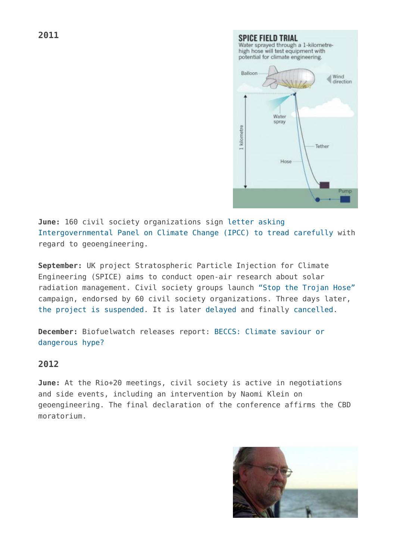**SPICE FIELD TRIAL** Water sprayed through a 1-kilometrehigh hose will test equipment with potential for climate engineering. Balloon Wind direction Water **SDraw** kilometre Tether Hose Pump

**June:** 160 civil society organizations sign [letter asking](http://www.geoengineeringmonitor.org/2011/06/open-letter-to-ipcc-on-geoengineering/) [Intergovernmental Panel on Climate Change \(IPCC\) to tread carefully](http://www.geoengineeringmonitor.org/2011/06/open-letter-to-ipcc-on-geoengineering/) with regard to geoengineering.

**September:** UK project Stratospheric Particle Injection for Climate Engineering (SPICE) aims to conduct open-air research about solar radiation management. Civil society groups launch ["Stop the Trojan Hose"](http://www.geoengineeringmonitor.org/2011/09/2420/) campaign, endorsed by 60 civil society organizations. Three days later, [the project is suspended](http://www.geoengineeringmonitor.org/2011/09/spice-put-on-ice/). It is later [delayed](http://www.geoengineeringmonitor.org/2011/10/u-k-geoengineering-tests-delayed-until-spring/) and finally [cancelled](http://www.geoengineeringmonitor.org/2012/05/geoengineering-experiment-cancelled-amid-patent-row/).

**December:** Biofuelwatch releases report: [BECCS: Climate saviour or](http://www.biofuelwatch.org.uk/2012/beccs_report/) [dangerous hype?](http://www.biofuelwatch.org.uk/2012/beccs_report/)

## **2012**

**June:** At the Rio+20 meetings, civil society is active in negotiations and side events, including an intervention by Naomi Klein on geoengineering. The final declaration of the conference affirms the CBD moratorium.